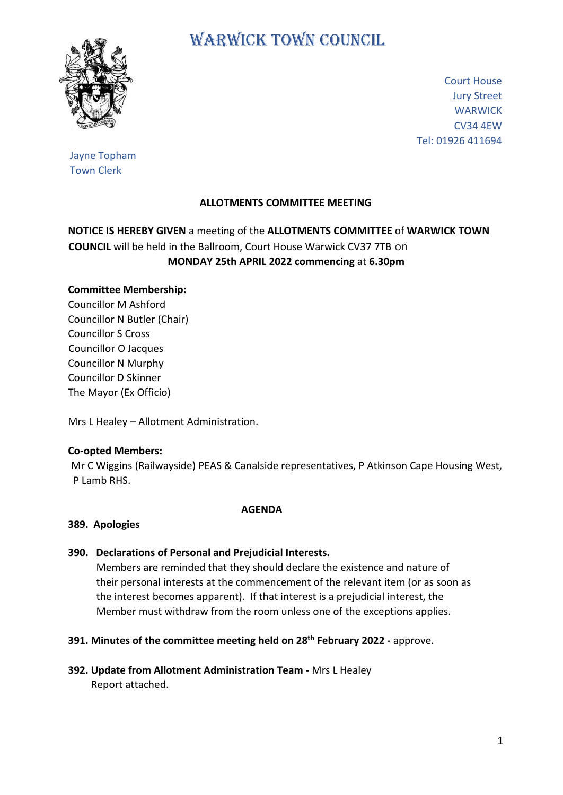

# WARWICK TOWN COUNCIL

Court House Jury Street **WARWICK** CV34 4EW Tel: 01926 411694

## Jayne Topham Town Clerk

## **ALLOTMENTS COMMITTEE MEETING**

## **NOTICE IS HEREBY GIVEN** a meeting of the **ALLOTMENTS COMMITTEE** of **WARWICK TOWN COUNCIL** will be held in the Ballroom, Court House Warwick CV37 7TB on **MONDAY 25th APRIL 2022 commencing** at **6.30pm**

### **Committee Membership:**

Councillor M Ashford Councillor N Butler (Chair) Councillor S Cross Councillor O Jacques Councillor N Murphy Councillor D Skinner The Mayor (Ex Officio)

Mrs L Healey – Allotment Administration.

#### **Co-opted Members:**

Mr C Wiggins (Railwayside) PEAS & Canalside representatives, P Atkinson Cape Housing West, P Lamb RHS.

#### **AGENDA**

#### **389. Apologies**

#### **390. Declarations of Personal and Prejudicial Interests.**

 Members are reminded that they should declare the existence and nature of their personal interests at the commencement of the relevant item (or as soon as the interest becomes apparent). If that interest is a prejudicial interest, the Member must withdraw from the room unless one of the exceptions applies.

#### **391. Minutes of the committee meeting held on 28th February 2022 -** approve.

**392. Update from Allotment Administration Team -** Mrs L Healey Report attached.